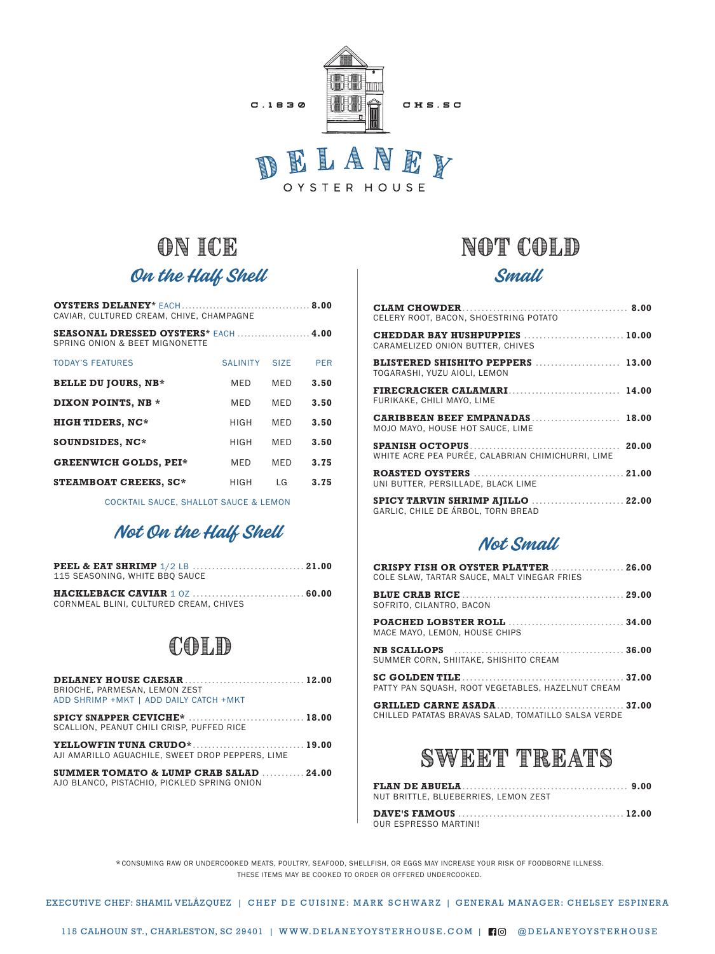

## on ice On the Half Shell

| CAVIAR, CULTURED CREAM, CHIVE, CHAMPAGNE                                      |                 |                   |            |  |
|-------------------------------------------------------------------------------|-----------------|-------------------|------------|--|
| <b>SEASONAL DRESSED OYSTERS* EACH  4.00</b><br>SPRING ONION & BEET MIGNONETTE |                 |                   |            |  |
| <b>TODAY'S FEATURES</b>                                                       | <b>SALINITY</b> | SI <sub>7</sub> F | <b>PER</b> |  |
| <b>BELLE DU JOURS, NB*</b>                                                    | MFD             | <b>MFD</b>        | 3.50       |  |
| <b>DIXON POINTS, NB *</b>                                                     | <b>MFD</b>      | <b>MFD</b>        | 3.50       |  |
| <b>HIGH TIDERS, NC*</b>                                                       | <b>HIGH</b>     | <b>MFD</b>        | 3.50       |  |
| SOUNDSIDES, NC*                                                               | <b>HIGH</b>     | <b>MFD</b>        | 3.50       |  |
| <b>GREENWICH GOLDS. PEI*</b>                                                  | MFD             | <b>MFD</b>        | 3.75       |  |
| <b>STEAMBOAT CREEKS, SC*</b>                                                  | HIGH            | I G               | 3.75       |  |

COCKTAIL SAUCE, SHALLOT SAUCE & LEMON

### Not On the Half Shell

| 115 SEASONING. WHITE BBO SAUCE         |  |
|----------------------------------------|--|
| CORNMEAL BLINI, CULTURED CREAM, CHIVES |  |

## Cold

| BRIOCHE, PARMESAN, LEMON ZEST<br>ADD SHRIMP + MKT   ADD DAILY CATCH + MKT             |  |
|---------------------------------------------------------------------------------------|--|
| SCALLION. PEANUT CHILI CRISP. PUFFED RICE                                             |  |
| AJI AMARILLO AGUACHILE. SWEET DROP PEPPERS. LIME                                      |  |
| SUMMER TOMATO & LUMP CRAB SALAD  24.00<br>AJO BLANCO, PISTACHIO, PICKLED SPRING ONION |  |

## NOT COLD

#### Small

| CELERY ROOT. BACON. SHOESTRING POTATO                              |  |
|--------------------------------------------------------------------|--|
| CHEDDAR BAY HUSHPUPPIES  10.00<br>CARAMELIZED ONION BUTTER. CHIVES |  |
| BLISTERED SHISHITO PEPPERS  13.00<br>TOGARASHI. YUZU AIOLI. LEMON  |  |
| FURIKAKE, CHILI MAYO, LIME                                         |  |
| CARIBBEAN BEEF EMPANADAS 18.00<br>MOJO MAYO, HOUSE HOT SAUCE, LIME |  |
| WHITE ACRE PEA PURÉE. CALABRIAN CHIMICHURRI. LIME                  |  |
| UNI BUTTER, PERSILLADE, BLACK LIME                                 |  |
| GARLIC, CHILE DE ÁRBOL, TORN BREAD                                 |  |

#### Not Small

| COLE SLAW, TARTAR SAUCE, MALT VINEGAR FRIES                         |  |
|---------------------------------------------------------------------|--|
| SOFRITO, CILANTRO, BACON                                            |  |
| <b>POACHED LOBSTER ROLL  34.00</b><br>MACE MAYO, LEMON, HOUSE CHIPS |  |
| SUMMER CORN, SHIITAKE, SHISHITO CREAM                               |  |
| PATTY PAN SOUASH, ROOT VEGETABLES, HAZELNUT CREAM                   |  |
| CHILLED PATATAS BRAVAS SALAD, TOMATILLO SALSA VERDE                 |  |

## SWEET TREATs

|  | NUT BRITTLE, BLUEBERRIES, LEMON ZEST |  |  |  |
|--|--------------------------------------|--|--|--|
|  |                                      |  |  |  |

| OUR ESPRESSO MARTINI! |  |
|-----------------------|--|

\*CONSUMING RAW OR UNDERCOOKED MEATS, POULTRY, SEAFOOD, SHELLFISH, OR EGGS MAY INCREASE YOUR RISK OF FOODBORNE ILLNESS. THESE ITEMS MAY BE COOKED TO ORDER OR OFFERED UNDERCOOKED.

EXECUTIVE CHEF: SHAMIL VELÁZQUEZ | CHEF DE CUISINE: MARK SCHWARZ | GENERAL MANAGER: CHELSEY ESPINERA